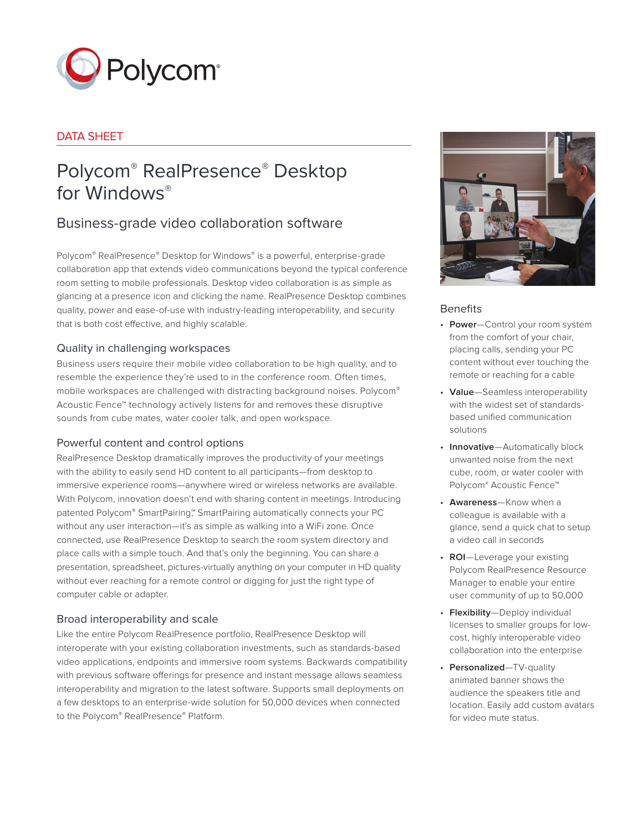

## DATA SHEET

# Polycom® RealPresence® Desktop for Windows®

## Business-grade video collaboration software

Polycom® RealPresence® Desktop for Windows® is a powerful, enterprise-grade collaboration app that extends video communications beyond the typical conference room setting to mobile professionals. Desktop video collaboration is as simple as glancing at a presence icon and clicking the name. RealPresence Desktop combines quality, power and ease-of-use with industry-leading interoperability, and security that is both cost effective, and highly scalable.

## Quality in challenging workspaces

Business users require their mobile video collaboration to be high quality, and to resemble the experience they're used to in the conference room. Often times, mobile workspaces are challenged with distracting background noises. Polycom® Acoustic Fence™ technology actively listens for and removes these disruptive sounds from cube mates, water cooler talk, and open workspace.

## Powerful content and control options

RealPresence Desktop dramatically improves the productivity of your meetings with the ability to easily send HD content to all participants—from desktop to immersive experience rooms—anywhere wired or wireless networks are available. With Polycom, innovation doesn't end with sharing content in meetings. Introducing patented Polycom® SmartPairing™ SmartPairing automatically connects your PC without any user interaction—it's as simple as walking into a WiFi zone. Once connected, use RealPresence Desktop to search the room system directory and place calls with a simple touch. And that's only the beginning. You can share a presentation, spreadsheet, pictures-virtually anything on your computer in HD quality without ever reaching for a remote control or digging for just the right type of computer cable or adapter.

## Broad interoperability and scale

Like the entire Polycom RealPresence portfolio, RealPresence Desktop will interoperate with your existing collaboration investments, such as standards-based video applications, endpoints and immersive room systems. Backwards compatibility with previous software offerings for presence and instant message allows seamless interoperability and migration to the latest software. Supports small deployments on a few desktops to an enterprise-wide solution for 50,000 devices when connected to the Polycom® RealPresence® Platform.



## **Benefits**

- **Power**—Control your room system from the comfort of your chair, placing calls, sending your PC content without ever touching the remote or reaching for a cable
- **Value**—Seamless interoperability with the widest set of standardsbased unified communication solutions
- **Innovative**—Automatically block unwanted noise from the next cube, room, or water cooler with Polycom® Acoustic Fence™
- **Awareness**—Know when a colleague is available with a glance, send a quick chat to setup a video call in seconds
- **ROI**—Leverage your existing Polycom RealPresence Resource Manager to enable your entire user community of up to 50,000
- **Flexibility**—Deploy individual licenses to smaller groups for lowcost, highly interoperable video collaboration into the enterprise
- **Personalized**—TV-quality animated banner shows the audience the speakers title and location. Easily add custom avatars for video mute status.